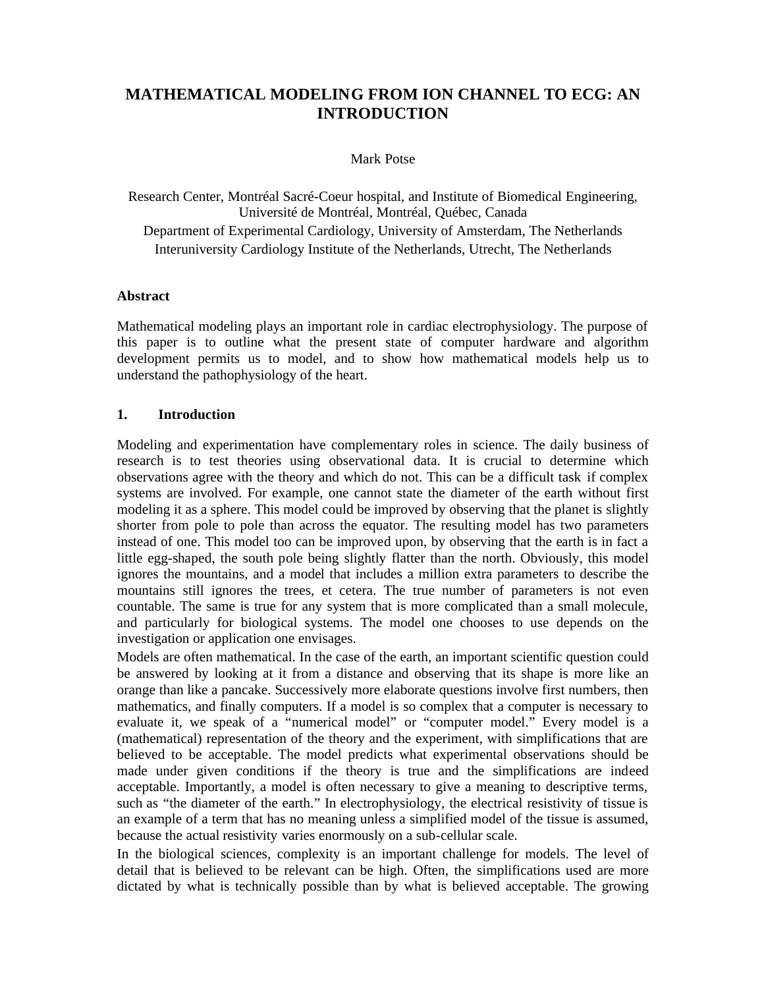# **MATHEMATICAL MODELING FROM ION CHANNEL TO ECG: AN INTRODUCTION**

#### Mark Potse

Research Center, Montréal Sacré-Coeur hospital, and Institute of Biomedical Engineering, Université de Montréal, Montréal, Québec, Canada Department of Experimental Cardiology, University of Amsterdam, The Netherlands Interuniversity Cardiology Institute of the Netherlands, Utrecht, The Netherlands

#### **Abstract**

Mathematical modeling plays an important role in cardiac electrophysiology. The purpose of this paper is to outline what the present state of computer hardware and algorithm development permits us to model, and to show how mathematical models help us to understand the pathophysiology of the heart.

### **1. Introduction**

Modeling and experimentation have complementary roles in science. The daily business of research is to test theories using observational data. It is crucial to determine which observations agree with the theory and which do not. This can be a difficult task if complex systems are involved. For example, one cannot state the diameter of the earth without first modeling it as a sphere. This model could be improved by observing that the planet is slightly shorter from pole to pole than across the equator. The resulting model has two parameters instead of one. This model too can be improved upon, by observing that the earth is in fact a little egg-shaped, the south pole being slightly flatter than the north. Obviously, this model ignores the mountains, and a model that includes a million extra parameters to describe the mountains still ignores the trees, et cetera. The true number of parameters is not even countable. The same is true for any system that is more complicated than a small molecule, and particularly for biological systems. The model one chooses to use depends on the investigation or application one envisages.

Models are often mathematical. In the case of the earth, an important scientific question could be answered by looking at it from a distance and observing that its shape is more like an orange than like a pancake. Successively more elaborate questions involve first numbers, then mathematics, and finally computers. If a model is so complex that a computer is necessary to evaluate it, we speak of a "numerical model" or "computer model." Every model is a (mathematical) representation of the theory and the experiment, with simplifications that are believed to be acceptable. The model predicts what experimental observations should be made under given conditions if the theory is true and the simplifications are indeed acceptable. Importantly, a model is often necessary to give a meaning to descriptive terms, such as "the diameter of the earth." In electrophysiology, the electrical resistivity of tissue is an example of a term that has no meaning unless a simplified model of the tissue is assumed, because the actual resistivity varies enormously on a sub-cellular scale.

In the biological sciences, complexity is an important challenge for models. The level of detail that is believed to be relevant can be high. Often, the simplifications used are more dictated by what is technically possible than by what is believed acceptable. The growing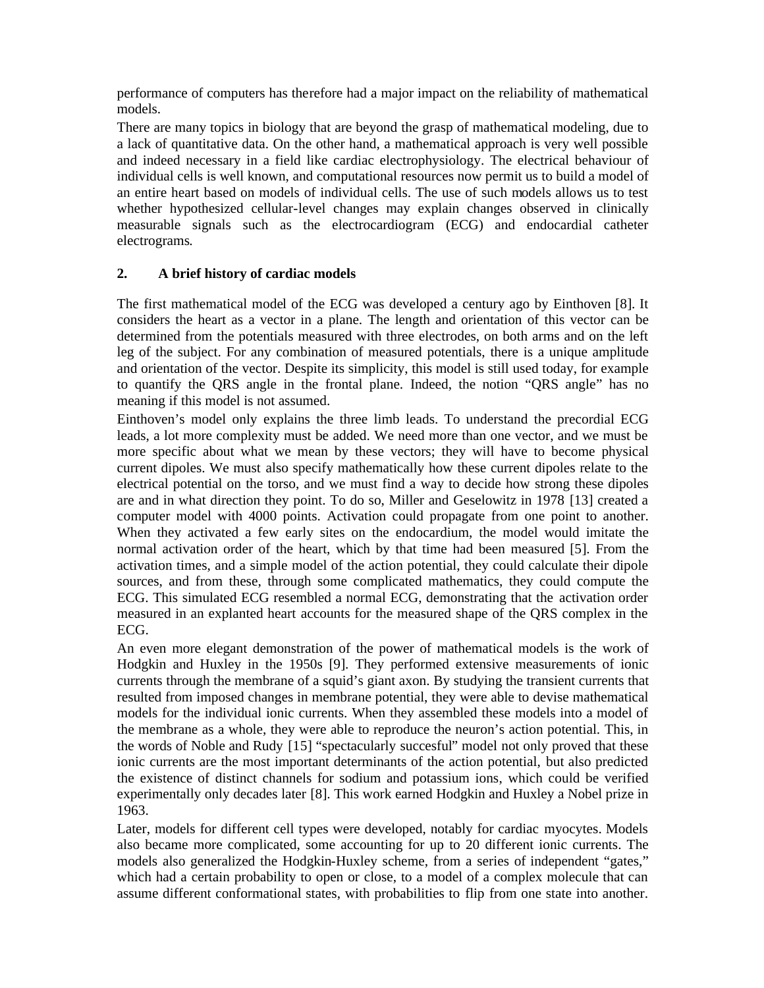performance of computers has therefore had a major impact on the reliability of mathematical models.

There are many topics in biology that are beyond the grasp of mathematical modeling, due to a lack of quantitative data. On the other hand, a mathematical approach is very well possible and indeed necessary in a field like cardiac electrophysiology. The electrical behaviour of individual cells is well known, and computational resources now permit us to build a model of an entire heart based on models of individual cells. The use of such models allows us to test whether hypothesized cellular-level changes may explain changes observed in clinically measurable signals such as the electrocardiogram (ECG) and endocardial catheter electrograms.

## **2. A brief history of cardiac models**

The first mathematical model of the ECG was developed a century ago by Einthoven [8]. It considers the heart as a vector in a plane. The length and orientation of this vector can be determined from the potentials measured with three electrodes, on both arms and on the left leg of the subject. For any combination of measured potentials, there is a unique amplitude and orientation of the vector. Despite its simplicity, this model is still used today, for example to quantify the QRS angle in the frontal plane. Indeed, the notion "QRS angle" has no meaning if this model is not assumed.

Einthoven's model only explains the three limb leads. To understand the precordial ECG leads, a lot more complexity must be added. We need more than one vector, and we must be more specific about what we mean by these vectors; they will have to become physical current dipoles. We must also specify mathematically how these current dipoles relate to the electrical potential on the torso, and we must find a way to decide how strong these dipoles are and in what direction they point. To do so, Miller and Geselowitz in 1978 [13] created a computer model with 4000 points. Activation could propagate from one point to another. When they activated a few early sites on the endocardium, the model would imitate the normal activation order of the heart, which by that time had been measured [5]. From the activation times, and a simple model of the action potential, they could calculate their dipole sources, and from these, through some complicated mathematics, they could compute the ECG. This simulated ECG resembled a normal ECG, demonstrating that the activation order measured in an explanted heart accounts for the measured shape of the QRS complex in the ECG.

An even more elegant demonstration of the power of mathematical models is the work of Hodgkin and Huxley in the 1950s [9]. They performed extensive measurements of ionic currents through the membrane of a squid's giant axon. By studying the transient currents that resulted from imposed changes in membrane potential, they were able to devise mathematical models for the individual ionic currents. When they assembled these models into a model of the membrane as a whole, they were able to reproduce the neuron's action potential. This, in the words of Noble and Rudy [15] "spectacularly succesful" model not only proved that these ionic currents are the most important determinants of the action potential, but also predicted the existence of distinct channels for sodium and potassium ions, which could be verified experimentally only decades later [8]. This work earned Hodgkin and Huxley a Nobel prize in 1963.

Later, models for different cell types were developed, notably for cardiac myocytes. Models also became more complicated, some accounting for up to 20 different ionic currents. The models also generalized the Hodgkin-Huxley scheme, from a series of independent "gates," which had a certain probability to open or close, to a model of a complex molecule that can assume different conformational states, with probabilities to flip from one state into another.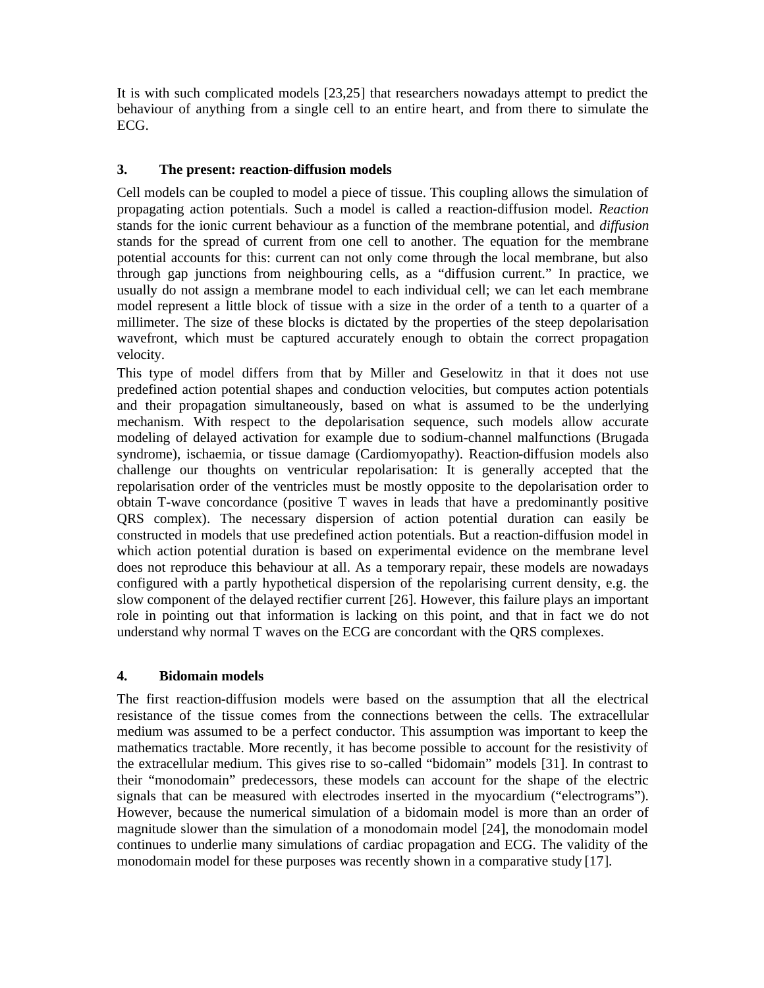It is with such complicated models [23,25] that researchers nowadays attempt to predict the behaviour of anything from a single cell to an entire heart, and from there to simulate the ECG.

### **3. The present: reaction-diffusion models**

Cell models can be coupled to model a piece of tissue. This coupling allows the simulation of propagating action potentials. Such a model is called a reaction-diffusion model. *Reaction* stands for the ionic current behaviour as a function of the membrane potential, and *diffusion* stands for the spread of current from one cell to another. The equation for the membrane potential accounts for this: current can not only come through the local membrane, but also through gap junctions from neighbouring cells, as a "diffusion current." In practice, we usually do not assign a membrane model to each individual cell; we can let each membrane model represent a little block of tissue with a size in the order of a tenth to a quarter of a millimeter. The size of these blocks is dictated by the properties of the steep depolarisation wavefront, which must be captured accurately enough to obtain the correct propagation velocity.

This type of model differs from that by Miller and Geselowitz in that it does not use predefined action potential shapes and conduction velocities, but computes action potentials and their propagation simultaneously, based on what is assumed to be the underlying mechanism. With respect to the depolarisation sequence, such models allow accurate modeling of delayed activation for example due to sodium-channel malfunctions (Brugada syndrome), ischaemia, or tissue damage (Cardiomyopathy). Reaction-diffusion models also challenge our thoughts on ventricular repolarisation: It is generally accepted that the repolarisation order of the ventricles must be mostly opposite to the depolarisation order to obtain T-wave concordance (positive T waves in leads that have a predominantly positive QRS complex). The necessary dispersion of action potential duration can easily be constructed in models that use predefined action potentials. But a reaction-diffusion model in which action potential duration is based on experimental evidence on the membrane level does not reproduce this behaviour at all. As a temporary repair, these models are nowadays configured with a partly hypothetical dispersion of the repolarising current density, e.g. the slow component of the delayed rectifier current [26]. However, this failure plays an important role in pointing out that information is lacking on this point, and that in fact we do not understand why normal T waves on the ECG are concordant with the QRS complexes.

### **4. Bidomain models**

The first reaction-diffusion models were based on the assumption that all the electrical resistance of the tissue comes from the connections between the cells. The extracellular medium was assumed to be a perfect conductor. This assumption was important to keep the mathematics tractable. More recently, it has become possible to account for the resistivity of the extracellular medium. This gives rise to so-called "bidomain" models [31]. In contrast to their "monodomain" predecessors, these models can account for the shape of the electric signals that can be measured with electrodes inserted in the myocardium ("electrograms"). However, because the numerical simulation of a bidomain model is more than an order of magnitude slower than the simulation of a monodomain model [24], the monodomain model continues to underlie many simulations of cardiac propagation and ECG. The validity of the monodomain model for these purposes was recently shown in a comparative study [17].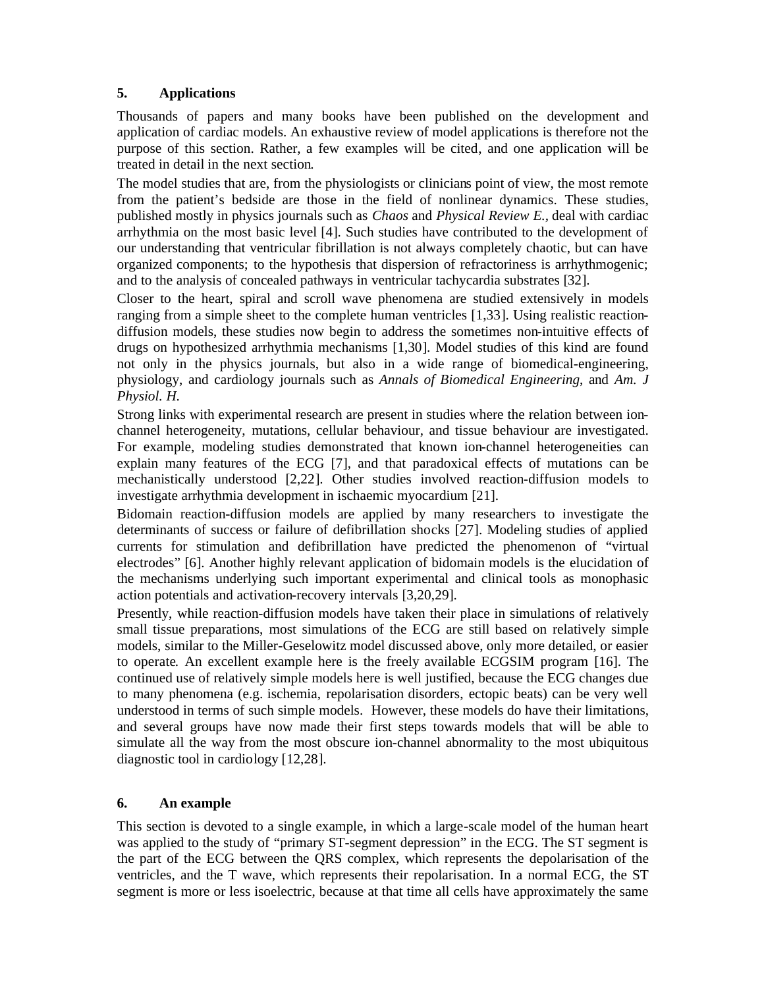### **5. Applications**

Thousands of papers and many books have been published on the development and application of cardiac models. An exhaustive review of model applications is therefore not the purpose of this section. Rather, a few examples will be cited, and one application will be treated in detail in the next section.

The model studies that are, from the physiologists or clinicians point of view, the most remote from the patient's bedside are those in the field of nonlinear dynamics. These studies, published mostly in physics journals such as *Chaos* and *Physical Review E.,* deal with cardiac arrhythmia on the most basic level [4]. Such studies have contributed to the development of our understanding that ventricular fibrillation is not always completely chaotic, but can have organized components; to the hypothesis that dispersion of refractoriness is arrhythmogenic; and to the analysis of concealed pathways in ventricular tachycardia substrates [32].

Closer to the heart, spiral and scroll wave phenomena are studied extensively in models ranging from a simple sheet to the complete human ventricles [1,33]. Using realistic reactiondiffusion models, these studies now begin to address the sometimes non-intuitive effects of drugs on hypothesized arrhythmia mechanisms [1,30]. Model studies of this kind are found not only in the physics journals, but also in a wide range of biomedical-engineering, physiology, and cardiology journals such as *Annals of Biomedical Engineering*, and *Am. J Physiol. H.*

Strong links with experimental research are present in studies where the relation between ionchannel heterogeneity, mutations, cellular behaviour, and tissue behaviour are investigated. For example, modeling studies demonstrated that known ion-channel heterogeneities can explain many features of the ECG [7], and that paradoxical effects of mutations can be mechanistically understood [2,22]. Other studies involved reaction-diffusion models to investigate arrhythmia development in ischaemic myocardium [21].

Bidomain reaction-diffusion models are applied by many researchers to investigate the determinants of success or failure of defibrillation shocks [27]. Modeling studies of applied currents for stimulation and defibrillation have predicted the phenomenon of "virtual electrodes" [6]. Another highly relevant application of bidomain models is the elucidation of the mechanisms underlying such important experimental and clinical tools as monophasic action potentials and activation-recovery intervals [3,20,29].

Presently, while reaction-diffusion models have taken their place in simulations of relatively small tissue preparations, most simulations of the ECG are still based on relatively simple models, similar to the Miller-Geselowitz model discussed above, only more detailed, or easier to operate. An excellent example here is the freely available ECGSIM program [16]. The continued use of relatively simple models here is well justified, because the ECG changes due to many phenomena (e.g. ischemia, repolarisation disorders, ectopic beats) can be very well understood in terms of such simple models. However, these models do have their limitations, and several groups have now made their first steps towards models that will be able to simulate all the way from the most obscure ion-channel abnormality to the most ubiquitous diagnostic tool in cardiology [12,28].

### **6. An example**

This section is devoted to a single example, in which a large-scale model of the human heart was applied to the study of "primary ST-segment depression" in the ECG. The ST segment is the part of the ECG between the QRS complex, which represents the depolarisation of the ventricles, and the T wave, which represents their repolarisation. In a normal ECG, the ST segment is more or less isoelectric, because at that time all cells have approximately the same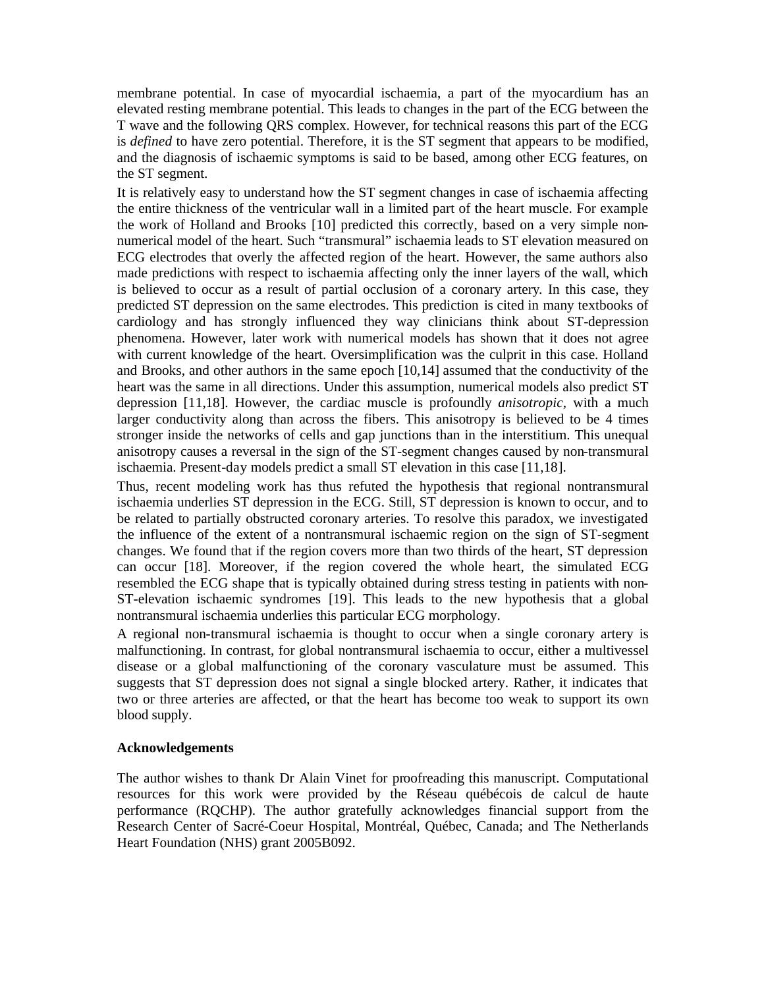membrane potential. In case of myocardial ischaemia, a part of the myocardium has an elevated resting membrane potential. This leads to changes in the part of the ECG between the T wave and the following QRS complex. However, for technical reasons this part of the ECG is *defined* to have zero potential. Therefore, it is the ST segment that appears to be modified, and the diagnosis of ischaemic symptoms is said to be based, among other ECG features, on the ST segment.

It is relatively easy to understand how the ST segment changes in case of ischaemia affecting the entire thickness of the ventricular wall in a limited part of the heart muscle. For example the work of Holland and Brooks [10] predicted this correctly, based on a very simple nonnumerical model of the heart. Such "transmural" ischaemia leads to ST elevation measured on ECG electrodes that overly the affected region of the heart. However, the same authors also made predictions with respect to ischaemia affecting only the inner layers of the wall, which is believed to occur as a result of partial occlusion of a coronary artery. In this case, they predicted ST depression on the same electrodes. This prediction is cited in many textbooks of cardiology and has strongly influenced they way clinicians think about ST-depression phenomena. However, later work with numerical models has shown that it does not agree with current knowledge of the heart. Oversimplification was the culprit in this case. Holland and Brooks, and other authors in the same epoch [10,14] assumed that the conductivity of the heart was the same in all directions. Under this assumption, numerical models also predict ST depression [11,18]. However, the cardiac muscle is profoundly *anisotropic,* with a much larger conductivity along than across the fibers. This anisotropy is believed to be 4 times stronger inside the networks of cells and gap junctions than in the interstitium. This unequal anisotropy causes a reversal in the sign of the ST-segment changes caused by non-transmural ischaemia. Present-day models predict a small ST elevation in this case [11,18].

Thus, recent modeling work has thus refuted the hypothesis that regional nontransmural ischaemia underlies ST depression in the ECG. Still, ST depression is known to occur, and to be related to partially obstructed coronary arteries. To resolve this paradox, we investigated the influence of the extent of a nontransmural ischaemic region on the sign of ST-segment changes. We found that if the region covers more than two thirds of the heart, ST depression can occur [18]. Moreover, if the region covered the whole heart, the simulated ECG resembled the ECG shape that is typically obtained during stress testing in patients with non-ST-elevation ischaemic syndromes [19]. This leads to the new hypothesis that a global nontransmural ischaemia underlies this particular ECG morphology.

A regional non-transmural ischaemia is thought to occur when a single coronary artery is malfunctioning. In contrast, for global nontransmural ischaemia to occur, either a multivessel disease or a global malfunctioning of the coronary vasculature must be assumed. This suggests that ST depression does not signal a single blocked artery. Rather, it indicates that two or three arteries are affected, or that the heart has become too weak to support its own blood supply.

### **Acknowledgements**

The author wishes to thank Dr Alain Vinet for proofreading this manuscript. Computational resources for this work were provided by the Réseau québécois de calcul de haute performance (RQCHP). The author gratefully acknowledges financial support from the Research Center of Sacré-Coeur Hospital, Montréal, Québec, Canada; and The Netherlands Heart Foundation (NHS) grant 2005B092.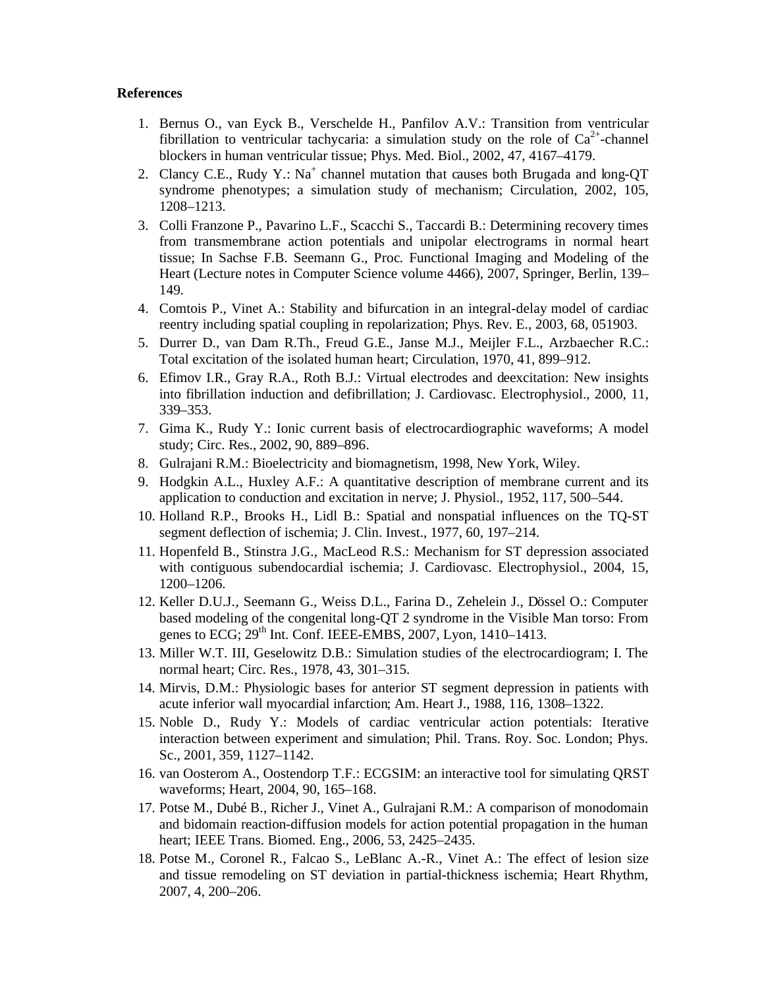#### **References**

- 1. Bernus O., van Eyck B., Verschelde H., Panfilov A.V.: Transition from ventricular fibrillation to ventricular tachycaria: a simulation study on the role of  $Ca^{2+}$ -channel blockers in human ventricular tissue; Phys. Med. Biol., 2002, 47, 4167–4179.
- 2. Clancy C.E., Rudy Y.:  $Na^+$  channel mutation that causes both Brugada and long-QT syndrome phenotypes; a simulation study of mechanism; Circulation, 2002, 105, 1208–1213.
- 3. Colli Franzone P., Pavarino L.F., Scacchi S., Taccardi B.: Determining recovery times from transmembrane action potentials and unipolar electrograms in normal heart tissue; In Sachse F.B. Seemann G., Proc. Functional Imaging and Modeling of the Heart (Lecture notes in Computer Science volume 4466), 2007, Springer, Berlin, 139– 149.
- 4. Comtois P., Vinet A.: Stability and bifurcation in an integral-delay model of cardiac reentry including spatial coupling in repolarization; Phys. Rev. E., 2003, 68, 051903.
- 5. Durrer D., van Dam R.Th., Freud G.E., Janse M.J., Meijler F.L., Arzbaecher R.C.: Total excitation of the isolated human heart; Circulation, 1970, 41, 899–912.
- 6. Efimov I.R., Gray R.A., Roth B.J.: Virtual electrodes and deexcitation: New insights into fibrillation induction and defibrillation; J. Cardiovasc. Electrophysiol., 2000, 11, 339–353.
- 7. Gima K., Rudy Y.: Ionic current basis of electrocardiographic waveforms; A model study; Circ. Res., 2002, 90, 889–896.
- 8. Gulrajani R.M.: Bioelectricity and biomagnetism, 1998, New York, Wiley.
- 9. Hodgkin A.L., Huxley A.F.: A quantitative description of membrane current and its application to conduction and excitation in nerve; J. Physiol., 1952, 117, 500–544.
- 10. Holland R.P., Brooks H., Lidl B.: Spatial and nonspatial influences on the TQ-ST segment deflection of ischemia; J. Clin. Invest., 1977, 60, 197–214.
- 11. Hopenfeld B., Stinstra J.G., MacLeod R.S.: Mechanism for ST depression associated with contiguous subendocardial ischemia; J. Cardiovasc. Electrophysiol., 2004, 15, 1200–1206.
- 12. Keller D.U.J., Seemann G., Weiss D.L., Farina D., Zehelein J., Dössel O.: Computer based modeling of the congenital long-QT 2 syndrome in the Visible Man torso: From genes to  $ECG$ ;  $29<sup>th</sup>$  Int. Conf. IEEE-EMBS, 2007, Lyon, 1410–1413.
- 13. Miller W.T. III, Geselowitz D.B.: Simulation studies of the electrocardiogram; I. The normal heart; Circ. Res., 1978, 43, 301–315.
- 14. Mirvis, D.M.: Physiologic bases for anterior ST segment depression in patients with acute inferior wall myocardial infarction; Am. Heart J., 1988, 116, 1308–1322.
- 15. Noble D., Rudy Y.: Models of cardiac ventricular action potentials: Iterative interaction between experiment and simulation; Phil. Trans. Roy. Soc. London; Phys. Sc., 2001, 359, 1127–1142.
- 16. van Oosterom A., Oostendorp T.F.: ECGSIM: an interactive tool for simulating QRST waveforms; Heart, 2004, 90, 165–168.
- 17. Potse M., Dubé B., Richer J., Vinet A., Gulrajani R.M.: A comparison of monodomain and bidomain reaction-diffusion models for action potential propagation in the human heart; IEEE Trans. Biomed. Eng., 2006, 53, 2425–2435.
- 18. Potse M., Coronel R., Falcao S., LeBlanc A.-R., Vinet A.: The effect of lesion size and tissue remodeling on ST deviation in partial-thickness ischemia; Heart Rhythm, 2007, 4, 200–206.